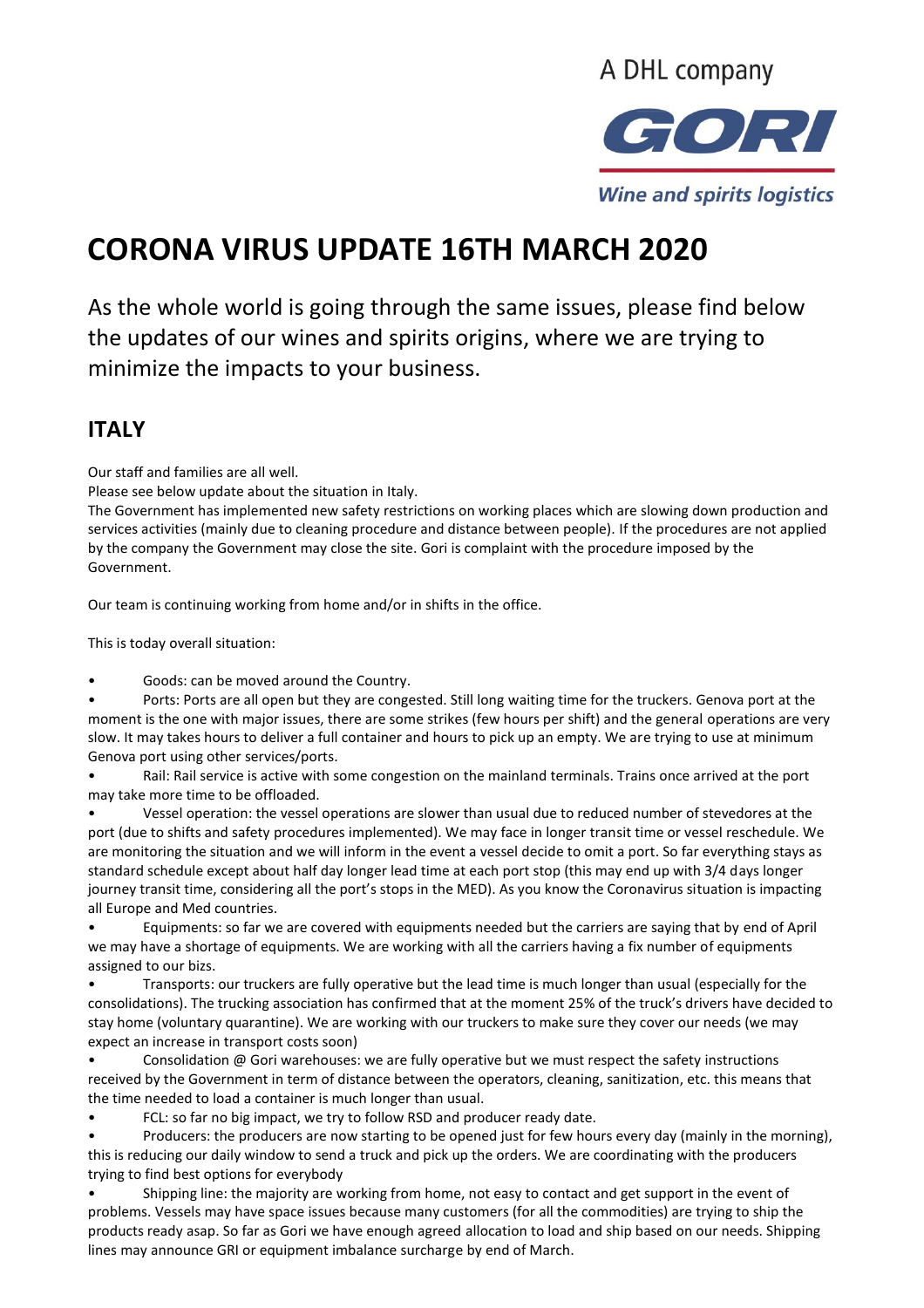

# **CORONA VIRUS UPDATE 16TH MARCH 2020**

As the whole world is going through the same issues, please find below the updates of our wines and spirits origins, where we are trying to minimize the impacts to your business.

#### **ITALY**

Our staff and families are all well.

Please see below update about the situation in Italy.

The Government has implemented new safety restrictions on working places which are slowing down production and services activities (mainly due to cleaning procedure and distance between people). If the procedures are not applied by the company the Government may close the site. Gori is complaint with the procedure imposed by the Government.

Our team is continuing working from home and/or in shifts in the office.

This is today overall situation:

Goods: can be moved around the Country.

• Ports: Ports are all open but they are congested. Still long waiting time for the truckers. Genova port at the moment is the one with major issues, there are some strikes (few hours per shift) and the general operations are very slow. It may takes hours to deliver a full container and hours to pick up an empty. We are trying to use at minimum Genova port using other services/ports.

• Rail: Rail service is active with some congestion on the mainland terminals. Trains once arrived at the port may take more time to be offloaded.

• Vessel operation: the vessel operations are slower than usual due to reduced number of stevedores at the port (due to shifts and safety procedures implemented). We may face in longer transit time or vessel reschedule. We are monitoring the situation and we will inform in the event a vessel decide to omit a port. So far everything stays as standard schedule except about half day longer lead time at each port stop (this may end up with 3/4 days longer journey transit time, considering all the port's stops in the MED). As you know the Coronavirus situation is impacting all Europe and Med countries.

• Equipments: so far we are covered with equipments needed but the carriers are saying that by end of April we may have a shortage of equipments. We are working with all the carriers having a fix number of equipments assigned to our bizs.

• Transports: our truckers are fully operative but the lead time is much longer than usual (especially for the consolidations). The trucking association has confirmed that at the moment 25% of the truck's drivers have decided to stay home (voluntary quarantine). We are working with our truckers to make sure they cover our needs (we may expect an increase in transport costs soon)

Consolidation @ Gori warehouses: we are fully operative but we must respect the safety instructions received by the Government in term of distance between the operators, cleaning, sanitization, etc. this means that the time needed to load a container is much longer than usual.

• FCL: so far no big impact, we try to follow RSD and producer ready date.

• Producers: the producers are now starting to be opened just for few hours every day (mainly in the morning), this is reducing our daily window to send a truck and pick up the orders. We are coordinating with the producers trying to find best options for everybody

• Shipping line: the majority are working from home, not easy to contact and get support in the event of problems. Vessels may have space issues because many customers (for all the commodities) are trying to ship the products ready asap. So far as Gori we have enough agreed allocation to load and ship based on our needs. Shipping lines may announce GRI or equipment imbalance surcharge by end of March.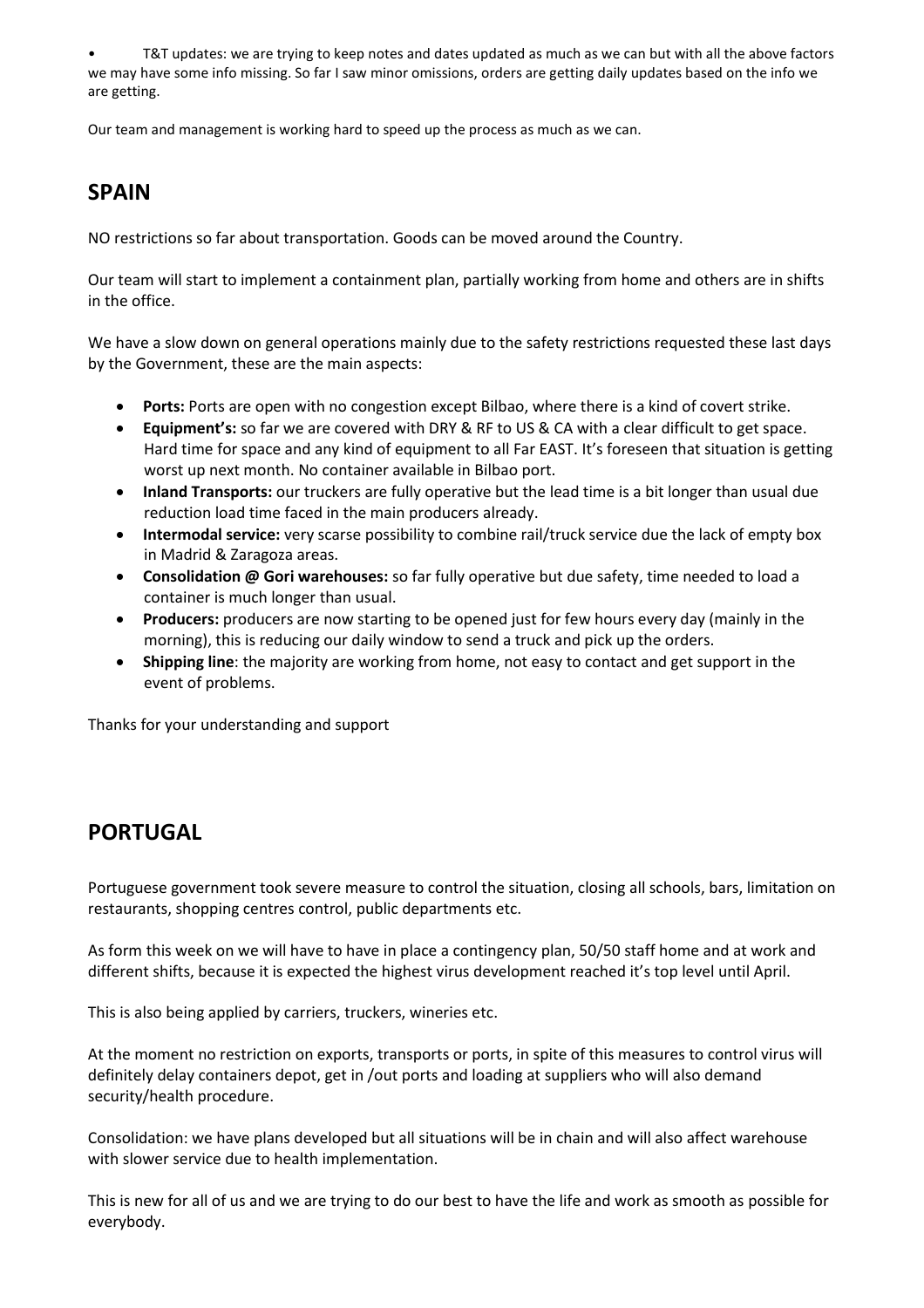• T&T updates: we are trying to keep notes and dates updated as much as we can but with all the above factors we may have some info missing. So far I saw minor omissions, orders are getting daily updates based on the info we are getting.

Our team and management is working hard to speed up the process as much as we can.

# **SPAIN**

NO restrictions so far about transportation. Goods can be moved around the Country.

Our team will start to implement a containment plan, partially working from home and others are in shifts in the office.

We have a slow down on general operations mainly due to the safety restrictions requested these last days by the Government, these are the main aspects:

- **Ports:** Ports are open with no congestion except Bilbao, where there is a kind of covert strike.
- **Equipment's:** so far we are covered with DRY & RF to US & CA with a clear difficult to get space. Hard time for space and any kind of equipment to all Far EAST. It's foreseen that situation is getting worst up next month. No container available in Bilbao port.
- **Inland Transports:** our truckers are fully operative but the lead time is a bit longer than usual due reduction load time faced in the main producers already.
- **Intermodal service:** very scarse possibility to combine rail/truck service due the lack of empty box in Madrid & Zaragoza areas.
- **Consolidation @ Gori warehouses:** so far fully operative but due safety, time needed to load a container is much longer than usual.
- **Producers:** producers are now starting to be opened just for few hours every day (mainly in the morning), this is reducing our daily window to send a truck and pick up the orders.
- **Shipping line**: the majority are working from home, not easy to contact and get support in the event of problems.

Thanks for your understanding and support

# **PORTUGAL**

Portuguese government took severe measure to control the situation, closing all schools, bars, limitation on restaurants, shopping centres control, public departments etc.

As form this week on we will have to have in place a contingency plan, 50/50 staff home and at work and different shifts, because it is expected the highest virus development reached it's top level until April.

This is also being applied by carriers, truckers, wineries etc.

At the moment no restriction on exports, transports or ports, in spite of this measures to control virus will definitely delay containers depot, get in /out ports and loading at suppliers who will also demand security/health procedure.

Consolidation: we have plans developed but all situations will be in chain and will also affect warehouse with slower service due to health implementation.

This is new for all of us and we are trying to do our best to have the life and work as smooth as possible for everybody.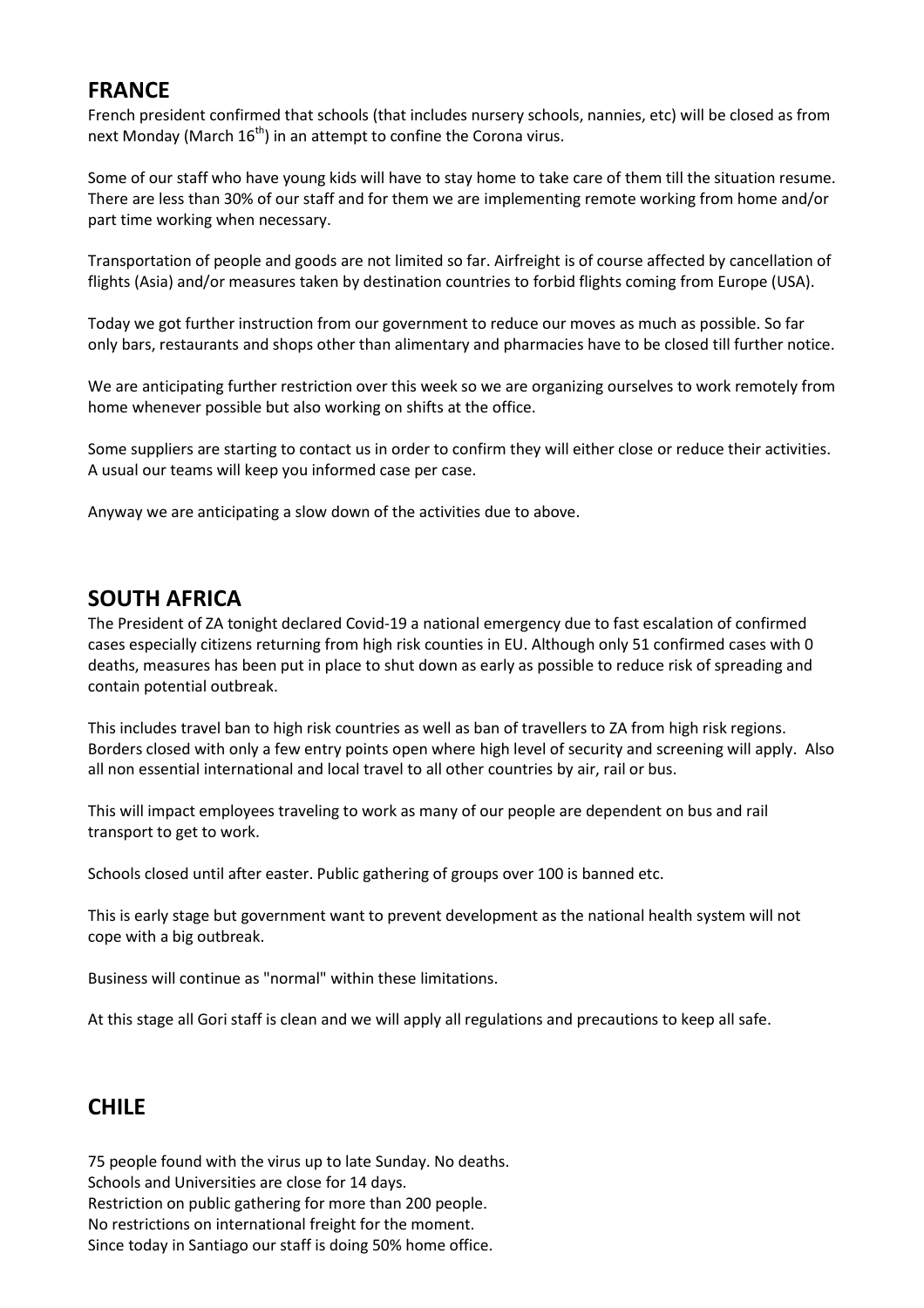#### **FRANCE**

French president confirmed that schools (that includes nursery schools, nannies, etc) will be closed as from next Monday (March  $16<sup>th</sup>$ ) in an attempt to confine the Corona virus.

Some of our staff who have young kids will have to stay home to take care of them till the situation resume. There are less than 30% of our staff and for them we are implementing remote working from home and/or part time working when necessary.

Transportation of people and goods are not limited so far. Airfreight is of course affected by cancellation of flights (Asia) and/or measures taken by destination countries to forbid flights coming from Europe (USA).

Today we got further instruction from our government to reduce our moves as much as possible. So far only bars, restaurants and shops other than alimentary and pharmacies have to be closed till further notice.

We are anticipating further restriction over this week so we are organizing ourselves to work remotely from home whenever possible but also working on shifts at the office.

Some suppliers are starting to contact us in order to confirm they will either close or reduce their activities. A usual our teams will keep you informed case per case.

Anyway we are anticipating a slow down of the activities due to above.

#### **SOUTH AFRICA**

The President of ZA tonight declared Covid-19 a national emergency due to fast escalation of confirmed cases especially citizens returning from high risk counties in EU. Although only 51 confirmed cases with 0 deaths, measures has been put in place to shut down as early as possible to reduce risk of spreading and contain potential outbreak.

This includes travel ban to high risk countries as well as ban of travellers to ZA from high risk regions. Borders closed with only a few entry points open where high level of security and screening will apply. Also all non essential international and local travel to all other countries by air, rail or bus.

This will impact employees traveling to work as many of our people are dependent on bus and rail transport to get to work.

Schools closed until after easter. Public gathering of groups over 100 is banned etc.

This is early stage but government want to prevent development as the national health system will not cope with a big outbreak.

Business will continue as "normal" within these limitations.

At this stage all Gori staff is clean and we will apply all regulations and precautions to keep all safe.

# **CHILE**

75 people found with the virus up to late Sunday. No deaths. Schools and Universities are close for 14 days. Restriction on public gathering for more than 200 people. No restrictions on international freight for the moment. Since today in Santiago our staff is doing 50% home office.